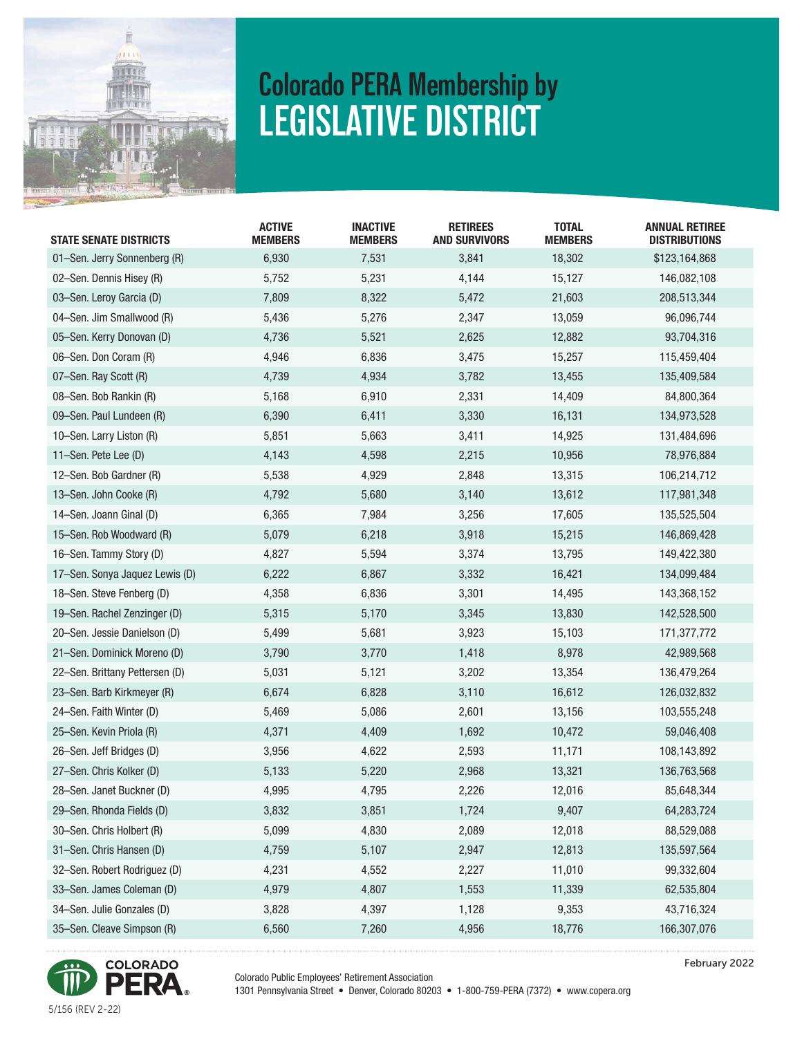

## **Colorado PERA Membership by LEGISLATIVE DISTRICT**

| <b>STATE SENATE DISTRICTS</b>  | <b>ACTIVE</b><br><b>MEMBERS</b> | <b>INACTIVE</b><br><b>MEMBERS</b> | <b>RETIREES</b><br><b>AND SURVIVORS</b> | <b>TOTAL</b><br><b>MEMBERS</b> | <b>ANNUAL RETIREE</b><br><b>DISTRIBUTIONS</b> |
|--------------------------------|---------------------------------|-----------------------------------|-----------------------------------------|--------------------------------|-----------------------------------------------|
| 01-Sen. Jerry Sonnenberg (R)   | 6,930                           | 7,531                             | 3,841                                   | 18,302                         | \$123,164,868                                 |
| 02-Sen. Dennis Hisey (R)       | 5,752                           | 5,231                             | 4,144                                   | 15,127                         | 146,082,108                                   |
| 03-Sen. Leroy Garcia (D)       | 7,809                           | 8,322                             | 5,472                                   | 21,603                         | 208,513,344                                   |
| 04-Sen. Jim Smallwood (R)      | 5,436                           | 5,276                             | 2,347                                   | 13,059                         | 96,096,744                                    |
| 05-Sen. Kerry Donovan (D)      | 4,736                           | 5,521                             | 2,625                                   | 12,882                         | 93,704,316                                    |
| 06-Sen. Don Coram (R)          | 4,946                           | 6,836                             | 3,475                                   | 15,257                         | 115,459,404                                   |
| 07-Sen. Ray Scott (R)          | 4,739                           | 4,934                             | 3,782                                   | 13,455                         | 135,409,584                                   |
| 08-Sen. Bob Rankin (R)         | 5,168                           | 6,910                             | 2,331                                   | 14,409                         | 84,800,364                                    |
| 09-Sen. Paul Lundeen (R)       | 6,390                           | 6,411                             | 3,330                                   | 16,131                         | 134,973,528                                   |
| 10-Sen. Larry Liston (R)       | 5,851                           | 5,663                             | 3,411                                   | 14,925                         | 131,484,696                                   |
| 11-Sen. Pete Lee (D)           | 4,143                           | 4,598                             | 2,215                                   | 10,956                         | 78,976,884                                    |
| 12-Sen. Bob Gardner (R)        | 5,538                           | 4,929                             | 2,848                                   | 13,315                         | 106,214,712                                   |
| 13-Sen. John Cooke (R)         | 4,792                           | 5,680                             | 3,140                                   | 13,612                         | 117,981,348                                   |
| 14-Sen. Joann Ginal (D)        | 6,365                           | 7,984                             | 3,256                                   | 17,605                         | 135,525,504                                   |
| 15-Sen. Rob Woodward (R)       | 5,079                           | 6,218                             | 3,918                                   | 15,215                         | 146,869,428                                   |
| 16-Sen. Tammy Story (D)        | 4,827                           | 5,594                             | 3,374                                   | 13,795                         | 149,422,380                                   |
| 17-Sen. Sonya Jaquez Lewis (D) | 6,222                           | 6,867                             | 3,332                                   | 16,421                         | 134,099,484                                   |
| 18-Sen. Steve Fenberg (D)      | 4,358                           | 6,836                             | 3,301                                   | 14,495                         | 143,368,152                                   |
| 19-Sen. Rachel Zenzinger (D)   | 5,315                           | 5,170                             | 3,345                                   | 13,830                         | 142,528,500                                   |
| 20-Sen. Jessie Danielson (D)   | 5,499                           | 5,681                             | 3,923                                   | 15,103                         | 171,377,772                                   |
| 21-Sen. Dominick Moreno (D)    | 3,790                           | 3,770                             | 1,418                                   | 8,978                          | 42,989,568                                    |
| 22-Sen. Brittany Pettersen (D) | 5,031                           | 5,121                             | 3,202                                   | 13,354                         | 136,479,264                                   |
| 23-Sen. Barb Kirkmeyer (R)     | 6,674                           | 6,828                             | 3,110                                   | 16,612                         | 126,032,832                                   |
| 24-Sen. Faith Winter (D)       | 5,469                           | 5,086                             | 2,601                                   | 13,156                         | 103,555,248                                   |
| 25-Sen. Kevin Priola (R)       | 4,371                           | 4,409                             | 1,692                                   | 10,472                         | 59,046,408                                    |
| 26-Sen. Jeff Bridges (D)       | 3,956                           | 4,622                             | 2,593                                   | 11,171                         | 108,143,892                                   |
| 27-Sen. Chris Kolker (D)       | 5,133                           | 5,220                             | 2,968                                   | 13,321                         | 136,763,568                                   |
| 28-Sen. Janet Buckner (D)      | 4,995                           | 4,795                             | 2,226                                   | 12,016                         | 85,648,344                                    |
| 29-Sen. Rhonda Fields (D)      | 3,832                           | 3,851                             | 1,724                                   | 9,407                          | 64,283,724                                    |
| 30-Sen. Chris Holbert (R)      | 5,099                           | 4,830                             | 2,089                                   | 12,018                         | 88,529,088                                    |
| 31-Sen. Chris Hansen (D)       | 4,759                           | 5,107                             | 2,947                                   | 12,813                         | 135,597,564                                   |
| 32-Sen. Robert Rodriguez (D)   | 4,231                           | 4,552                             | 2,227                                   | 11,010                         | 99,332,604                                    |
| 33-Sen. James Coleman (D)      | 4,979                           | 4,807                             | 1,553                                   | 11,339                         | 62,535,804                                    |
| 34-Sen. Julie Gonzales (D)     | 3,828                           | 4,397                             | 1,128                                   | 9,353                          | 43,716,324                                    |
| 35-Sen. Cleave Simpson (R)     | 6,560                           | 7,260                             | 4,956                                   | 18,776                         | 166,307,076                                   |
|                                |                                 |                                   |                                         |                                |                                               |

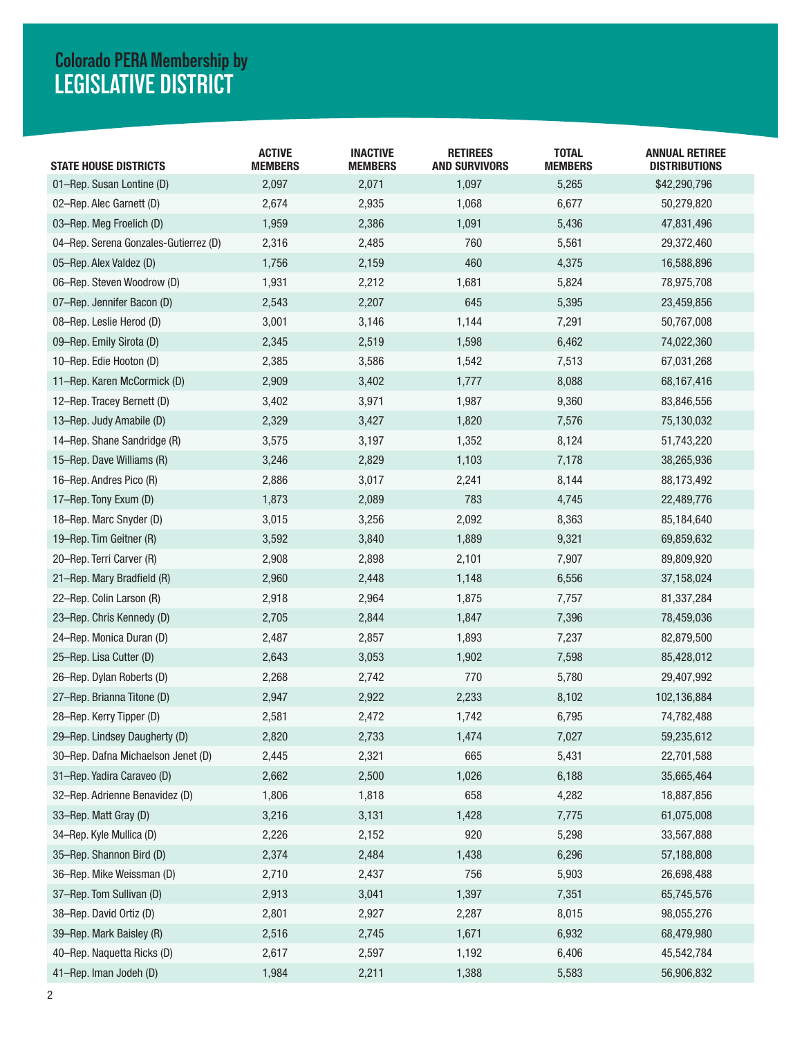## **LEGISLATIVE DISTRICT Colorado PERA Membership by**

| <b>STATE HOUSE DISTRICTS</b>          | <b>ACTIVE</b><br><b>MEMBERS</b> | <b>INACTIVE</b><br><b>MEMBERS</b> | <b>RETIREES</b><br><b>AND SURVIVORS</b> | <b>TOTAL</b><br><b>MEMBERS</b> | <b>ANNUAL RETIREE</b><br><b>DISTRIBUTIONS</b> |
|---------------------------------------|---------------------------------|-----------------------------------|-----------------------------------------|--------------------------------|-----------------------------------------------|
| 01-Rep. Susan Lontine (D)             | 2,097                           | 2,071                             | 1,097                                   | 5,265                          | \$42,290,796                                  |
| 02-Rep. Alec Garnett (D)              | 2,674                           | 2,935                             | 1,068                                   | 6,677                          | 50,279,820                                    |
| 03-Rep. Meg Froelich (D)              | 1,959                           | 2,386                             | 1,091                                   | 5,436                          | 47,831,496                                    |
| 04-Rep. Serena Gonzales-Gutierrez (D) | 2,316                           | 2,485                             | 760                                     | 5,561                          | 29,372,460                                    |
| 05-Rep. Alex Valdez (D)               | 1,756                           | 2,159                             | 460                                     | 4,375                          | 16,588,896                                    |
| 06-Rep. Steven Woodrow (D)            | 1,931                           | 2,212                             | 1,681                                   | 5,824                          | 78,975,708                                    |
| 07-Rep. Jennifer Bacon (D)            | 2,543                           | 2,207                             | 645                                     | 5,395                          | 23,459,856                                    |
| 08-Rep. Leslie Herod (D)              | 3,001                           | 3,146                             | 1,144                                   | 7,291                          | 50,767,008                                    |
| 09-Rep. Emily Sirota (D)              | 2,345                           | 2,519                             | 1,598                                   | 6,462                          | 74,022,360                                    |
| 10-Rep. Edie Hooton (D)               | 2,385                           | 3,586                             | 1,542                                   | 7,513                          | 67,031,268                                    |
| 11-Rep. Karen McCormick (D)           | 2,909                           | 3,402                             | 1,777                                   | 8,088                          | 68,167,416                                    |
| 12-Rep. Tracey Bernett (D)            | 3,402                           | 3,971                             | 1,987                                   | 9,360                          | 83,846,556                                    |
| 13-Rep. Judy Amabile (D)              | 2,329                           | 3,427                             | 1,820                                   | 7,576                          | 75,130,032                                    |
| 14-Rep. Shane Sandridge (R)           | 3,575                           | 3,197                             | 1,352                                   | 8,124                          | 51,743,220                                    |
| 15-Rep. Dave Williams (R)             | 3,246                           | 2,829                             | 1,103                                   | 7,178                          | 38,265,936                                    |
| 16-Rep. Andres Pico (R)               | 2,886                           | 3,017                             | 2,241                                   | 8,144                          | 88,173,492                                    |
| 17-Rep. Tony Exum (D)                 | 1,873                           | 2,089                             | 783                                     | 4,745                          | 22,489,776                                    |
| 18-Rep. Marc Snyder (D)               | 3,015                           | 3,256                             | 2,092                                   | 8,363                          | 85,184,640                                    |
| 19-Rep. Tim Geitner (R)               | 3,592                           | 3,840                             | 1,889                                   | 9,321                          | 69,859,632                                    |
| 20-Rep. Terri Carver (R)              | 2,908                           | 2,898                             | 2,101                                   | 7,907                          | 89,809,920                                    |
| 21-Rep. Mary Bradfield (R)            | 2,960                           | 2,448                             | 1,148                                   | 6,556                          | 37,158,024                                    |
| 22-Rep. Colin Larson (R)              | 2,918                           | 2,964                             | 1,875                                   | 7,757                          | 81,337,284                                    |
| 23-Rep. Chris Kennedy (D)             | 2,705                           | 2,844                             | 1,847                                   | 7,396                          | 78,459,036                                    |
| 24-Rep. Monica Duran (D)              | 2,487                           | 2,857                             | 1,893                                   | 7,237                          | 82,879,500                                    |
| 25-Rep. Lisa Cutter (D)               | 2,643                           | 3,053                             | 1,902                                   | 7,598                          | 85,428,012                                    |
| 26-Rep. Dylan Roberts (D)             | 2,268                           | 2,742                             | 770                                     | 5,780                          | 29,407,992                                    |
| 27-Rep. Brianna Titone (D)            | 2,947                           | 2,922                             | 2,233                                   | 8,102                          | 102,136,884                                   |
| 28-Rep. Kerry Tipper (D)              | 2,581                           | 2,472                             | 1,742                                   | 6,795                          | 74,782,488                                    |
| 29-Rep. Lindsey Daugherty (D)         | 2,820                           | 2,733                             | 1,474                                   | 7,027                          | 59,235,612                                    |
| 30-Rep. Dafna Michaelson Jenet (D)    | 2,445                           | 2,321                             | 665                                     | 5,431                          | 22,701,588                                    |
| 31-Rep. Yadira Caraveo (D)            | 2,662                           | 2,500                             | 1,026                                   | 6,188                          | 35,665,464                                    |
| 32-Rep. Adrienne Benavidez (D)        | 1,806                           | 1,818                             | 658                                     | 4,282                          | 18,887,856                                    |
| 33-Rep. Matt Gray (D)                 | 3,216                           | 3,131                             | 1,428                                   | 7,775                          | 61,075,008                                    |
| 34-Rep. Kyle Mullica (D)              | 2,226                           | 2,152                             | 920                                     | 5,298                          | 33,567,888                                    |
| 35-Rep. Shannon Bird (D)              | 2,374                           | 2,484                             | 1,438                                   | 6,296                          | 57,188,808                                    |
| 36-Rep. Mike Weissman (D)             | 2,710                           | 2,437                             | 756                                     | 5,903                          | 26,698,488                                    |
| 37-Rep. Tom Sullivan (D)              | 2,913                           | 3,041                             | 1,397                                   | 7,351                          | 65,745,576                                    |
| 38-Rep. David Ortiz (D)               | 2,801                           | 2,927                             | 2,287                                   | 8,015                          | 98,055,276                                    |
| 39-Rep. Mark Baisley (R)              | 2,516                           | 2,745                             | 1,671                                   | 6,932                          | 68,479,980                                    |
| 40-Rep. Naquetta Ricks (D)            | 2,617                           | 2,597                             | 1,192                                   | 6,406                          | 45,542,784                                    |
| 41-Rep. Iman Jodeh (D)                | 1,984                           | 2,211                             | 1,388                                   | 5,583                          | 56,906,832                                    |